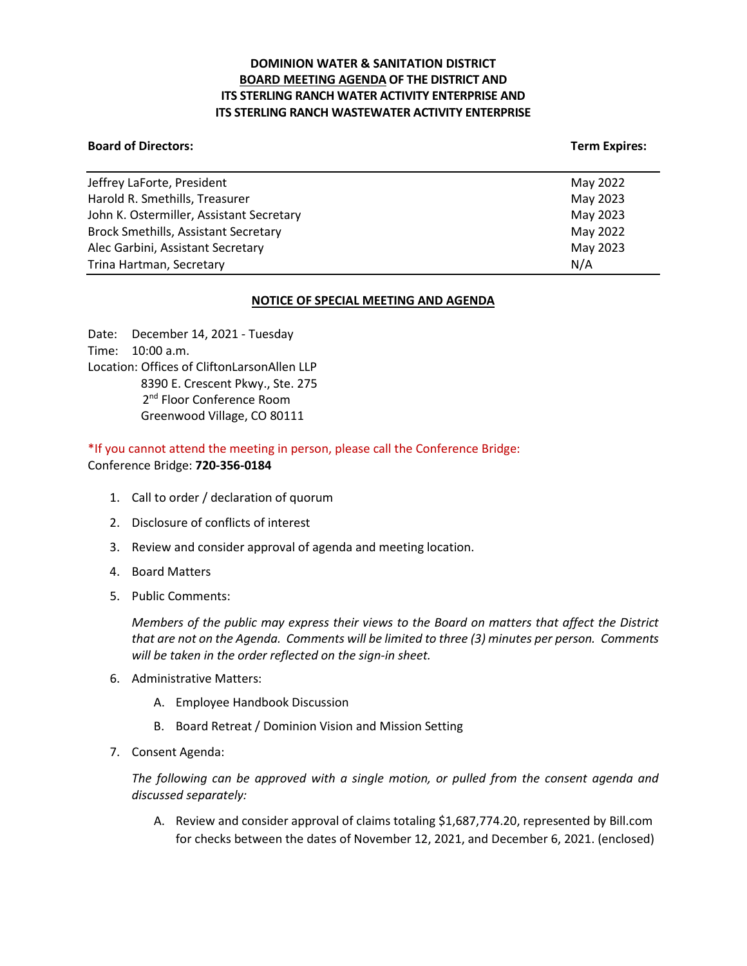# **DOMINION WATER & SANITATION DISTRICT BOARD MEETING AGENDA OF THE DISTRICT AND ITS STERLING RANCH WATER ACTIVITY ENTERPRISE AND ITS STERLING RANCH WASTEWATER ACTIVITY ENTERPRISE**

#### **Board of Directors:** Term Expires: Term Expires: Term Expires: Term Expires: Term Expires: Term Expires: Term Expires: Term Expires: Term Expires: Term Expires: Term Expires: Term Expires: Term Expires: Term Expires: Term

| Jeffrey LaForte, President                  | May 2022 |
|---------------------------------------------|----------|
| Harold R. Smethills, Treasurer              | May 2023 |
| John K. Ostermiller, Assistant Secretary    | May 2023 |
| <b>Brock Smethills, Assistant Secretary</b> | May 2022 |
| Alec Garbini, Assistant Secretary           | May 2023 |
| Trina Hartman, Secretary                    | N/A      |

### **NOTICE OF SPECIAL MEETING AND AGENDA**

Date: December 14, 2021 - Tuesday Time: 10:00 a.m. Location: Offices of CliftonLarsonAllen LLP 8390 E. Crescent Pkwy., Ste. 275 2<sup>nd</sup> Floor Conference Room Greenwood Village, CO 80111

\*If you cannot attend the meeting in person, please call the Conference Bridge: Conference Bridge: **720-356-0184**

- 1. Call to order / declaration of quorum
- 2. Disclosure of conflicts of interest
- 3. Review and consider approval of agenda and meeting location.
- 4. Board Matters
- 5. Public Comments:

*Members of the public may express their views to the Board on matters that affect the District that are not on the Agenda. Comments will be limited to three (3) minutes per person. Comments will be taken in the order reflected on the sign-in sheet.* 

- 6. Administrative Matters:
	- A. Employee Handbook Discussion
	- B. Board Retreat / Dominion Vision and Mission Setting
- 7. Consent Agenda:

*The following can be approved with a single motion, or pulled from the consent agenda and discussed separately:*

A. Review and consider approval of claims totaling \$1,687,774.20, represented by Bill.com for checks between the dates of November 12, 2021, and December 6, 2021. (enclosed)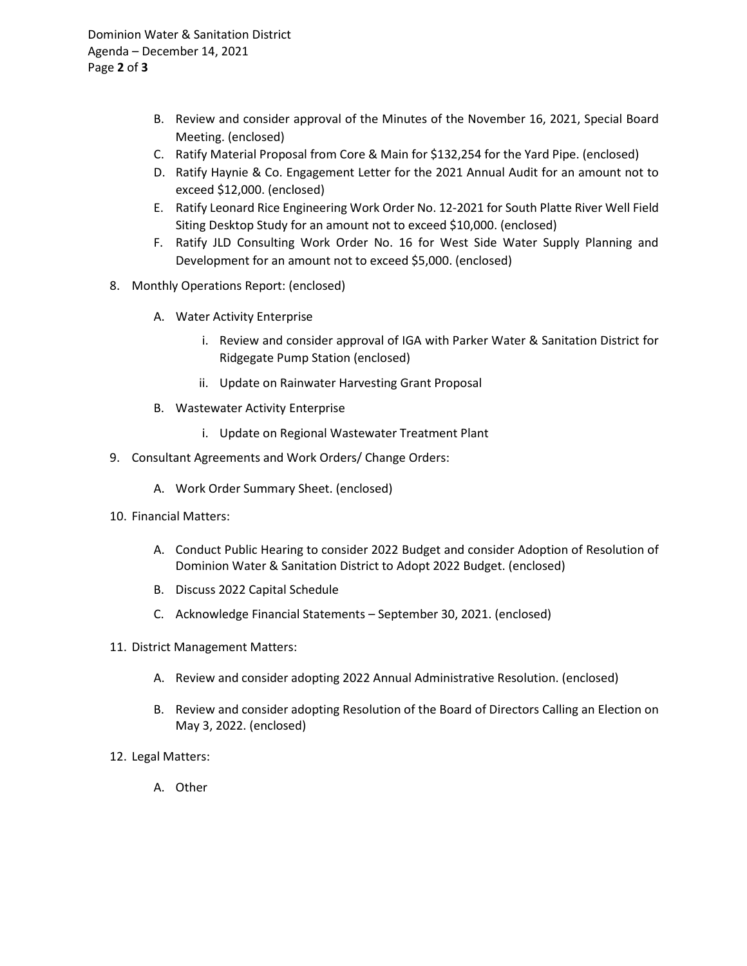- B. Review and consider approval of the Minutes of the November 16, 2021, Special Board Meeting. (enclosed)
- C. Ratify Material Proposal from Core & Main for \$132,254 for the Yard Pipe. (enclosed)
- D. Ratify Haynie & Co. Engagement Letter for the 2021 Annual Audit for an amount not to exceed \$12,000. (enclosed)
- E. Ratify Leonard Rice Engineering Work Order No. 12-2021 for South Platte River Well Field Siting Desktop Study for an amount not to exceed \$10,000. (enclosed)
- F. Ratify JLD Consulting Work Order No. 16 for West Side Water Supply Planning and Development for an amount not to exceed \$5,000. (enclosed)
- 8. Monthly Operations Report: (enclosed)
	- A. Water Activity Enterprise
		- i. Review and consider approval of IGA with Parker Water & Sanitation District for Ridgegate Pump Station (enclosed)
		- ii. Update on Rainwater Harvesting Grant Proposal
	- B. Wastewater Activity Enterprise
		- i. Update on Regional Wastewater Treatment Plant
- 9. Consultant Agreements and Work Orders/ Change Orders:
	- A. Work Order Summary Sheet. (enclosed)
- 10. Financial Matters:
	- A. Conduct Public Hearing to consider 2022 Budget and consider Adoption of Resolution of Dominion Water & Sanitation District to Adopt 2022 Budget. (enclosed)
	- B. Discuss 2022 Capital Schedule
	- C. Acknowledge Financial Statements September 30, 2021. (enclosed)
- 11. District Management Matters:
	- A. Review and consider adopting 2022 Annual Administrative Resolution. (enclosed)
	- B. Review and consider adopting Resolution of the Board of Directors Calling an Election on May 3, 2022. (enclosed)
- 12. Legal Matters:
	- A. Other